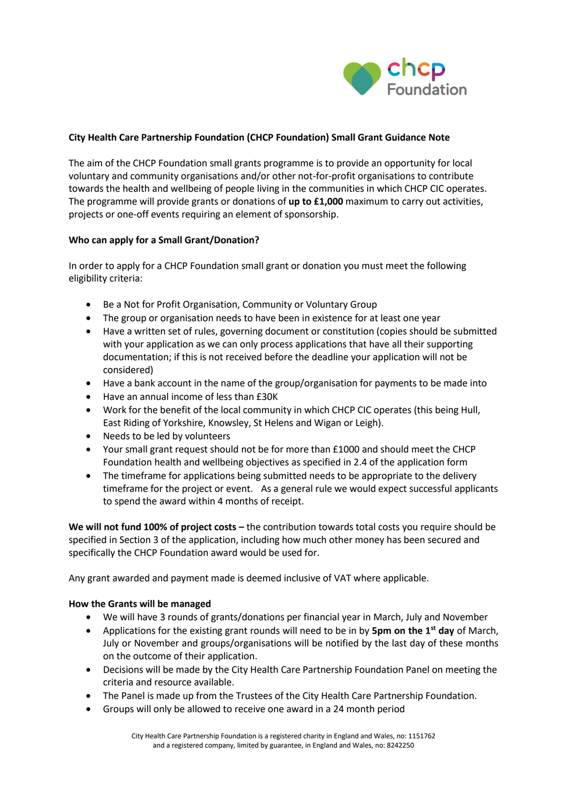

## **City Health Care Partnership Foundation (CHCP Foundation) Small Grant Guidance Note**

The aim of the CHCP Foundation small grants programme is to provide an opportunity for local voluntary and community organisations and/or other not-for-profit organisations to contribute towards the health and wellbeing of people living in the communities in which CHCP CIC operates. The programme will provide grants or donations of **up to £1,000** maximum to carry out activities, projects or one-off events requiring an element of sponsorship.

## **Who can apply for a Small Grant/Donation?**

In order to apply for a CHCP Foundation small grant or donation you must meet the following eligibility criteria:

- Be a Not for Profit Organisation, Community or Voluntary Group
- The group or organisation needs to have been in existence for at least one year
- Have a written set of rules, governing document or constitution (copies should be submitted with your application as we can only process applications that have all their supporting documentation; if this is not received before the deadline your application will not be considered)
- Have a bank account in the name of the group/organisation for payments to be made into
- Have an annual income of less than £30K
- Work for the benefit of the local community in which CHCP CIC operates (this being Hull, East Riding of Yorkshire, Knowsley, St Helens and Wigan or Leigh).
- Needs to be led by volunteers
- Your small grant request should not be for more than £1000 and should meet the CHCP Foundation health and wellbeing objectives as specified in 2.4 of the application form
- The timeframe for applications being submitted needs to be appropriate to the delivery timeframe for the project or event. As a general rule we would expect successful applicants to spend the award within 4 months of receipt.

**We will not fund 100% of project costs –** the contribution towards total costs you require should be specified in Section 3 of the application, including how much other money has been secured and specifically the CHCP Foundation award would be used for.

Any grant awarded and payment made is deemed inclusive of VAT where applicable.

## **How the Grants will be managed**

- We will have 3 rounds of grants/donations per financial year in March, July and November
- Applications for the existing grant rounds will need to be in by **5pm on the 1st day** of March, July or November and groups/organisations will be notified by the last day of these months on the outcome of their application.
- Decisions will be made by the City Health Care Partnership Foundation Panel on meeting the criteria and resource available.
- The Panel is made up from the Trustees of the City Health Care Partnership Foundation.
- Groups will only be allowed to receive one award in a 24 month period